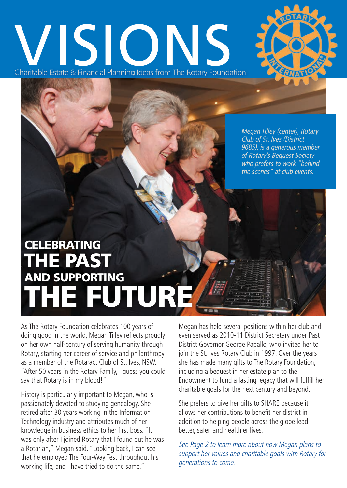# Charitable Estate & Financial Planning Ideas from The Rotary Foundation



Megan Tilley (center), Rotary Club of St. Ives (District 9685), is a generous member of Rotary's Bequest Society who prefers to work "behind the scenes" at club events.

# **CELEBRATING** THE PAST AND SUPPORTING THE FUTURE

As The Rotary Foundation celebrates 100 years of doing good in the world, Megan Tilley reflects proudly on her own half-century of serving humanity through Rotary, starting her career of service and philanthropy as a member of the Rotaract Club of St. Ives, NSW. "After 50 years in the Rotary Family, I guess you could say that Rotary is in my blood!"

History is particularly important to Megan, who is passionately devoted to studying genealogy. She retired after 30 years working in the Information Technology industry and attributes much of her knowledge in business ethics to her first boss. "It was only after I joined Rotary that I found out he was a Rotarian," Megan said. "Looking back, I can see that he employed The Four-Way Test throughout his working life, and I have tried to do the same."

Megan has held several positions within her club and even served as 2010-11 District Secretary under Past District Governor George Papallo, who invited her to join the St. Ives Rotary Club in 1997. Over the years she has made many gifts to The Rotary Foundation, including a bequest in her estate plan to the Endowment to fund a lasting legacy that will fulfill her charitable goals for the next century and beyond.

She prefers to give her gifts to SHARE because it allows her contributions to benefit her district in addition to helping people across the globe lead better, safer, and healthier lives.

See Page 2 to learn more about how Megan plans to support her values and charitable goals with Rotary for generations to come.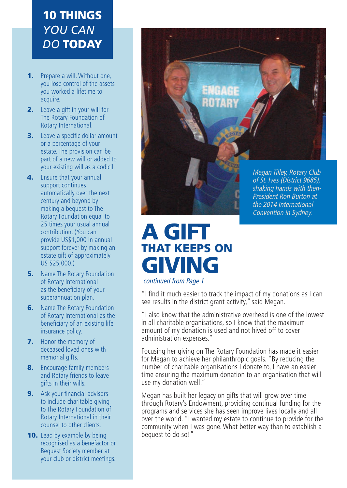### 10 THINGS *YOU CAN DO* TODAY

- 1. Prepare a will. Without one, you lose control of the assets you worked a lifetime to acquire.
- **2.** Leave a gift in your will for The Rotary Foundation of Rotary International.
- **3.** Leave a specific dollar amount or a percentage of your estate. The provision can be part of a new will or added to your existing will as a codicil.
- 4. Ensure that your annual support continues automatically over the next century and beyond by making a bequest to The Rotary Foundation equal to 25 times your usual annual contribution. (You can provide US\$1,000 in annual support forever by making an estate gift of approximately US \$25,000.)
- **5.** Name The Rotary Foundation of Rotary International as the beneficiary of your superannuation plan.
- **6.** Name The Rotary Foundation of Rotary International as the beneficiary of an existing life insurance policy.
- 7. Honor the memory of deceased loved ones with memorial gifts.
- 8. Encourage family members and Rotary friends to leave gifts in their wills.
- **9.** Ask your financial advisors to include charitable giving to The Rotary Foundation of Rotary International in their counsel to other clients.
- **10.** Lead by example by being recognised as a benefactor or Bequest Society member at your club or district meetings.



## A GIFT THAT KEEPS ON GIVING

continued from Page 1

"I find it much easier to track the impact of my donations as I can see results in the district grant activity," said Megan.

"I also know that the administrative overhead is one of the lowest in all charitable organisations, so I know that the maximum amount of my donation is used and not hived off to cover administration expenses."

Focusing her giving on The Rotary Foundation has made it easier for Megan to achieve her philanthropic goals. "By reducing the number of charitable organisations I donate to, I have an easier time ensuring the maximum donation to an organisation that will use my donation well."

Megan has built her legacy on gifts that will grow over time through Rotary's Endowment, providing continual funding for the programs and services she has seen improve lives locally and all over the world. "I wanted my estate to continue to provide for the community when I was gone. What better way than to establish a bequest to do so!"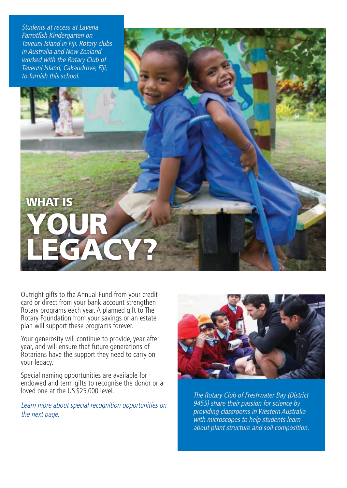Students at recess at Lavena Parrotfish Kindergarten on Taveuni Island in Fiji. Rotary clubs in Australia and New Zealand worked with the Rotary Club of Taveuni Island, Cakaudrove, Fiji, to furnish this school.

WHAT IS

YOUR

Outright gifts to the Annual Fund from your credit card or direct from your bank account strengthen Rotary programs each year. A planned gift to The Rotary Foundation from your savings or an estate plan will support these programs forever.

LEGACY?

Your generosity will continue to provide, year after year, and will ensure that future generations of Rotarians have the support they need to carry on your legacy.

Special naming opportunities are available for endowed and term gifts to recognise the donor or a loved one at the US \$25,000 level.

Learn more about special recognition opportunities on the next page.



The Rotary Club of Freshwater Bay (District 9455) share their passion for science by providing classrooms in Western Australia with microscopes to help students learn about plant structure and soil composition.